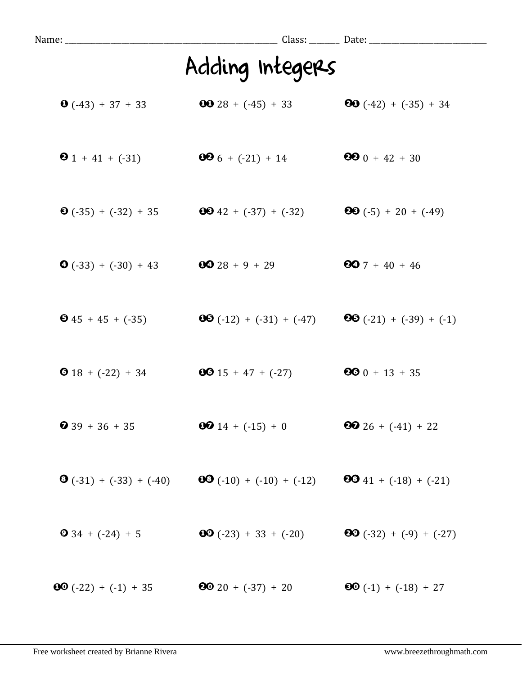| Name: ___________________________ |                                             |                                  |
|-----------------------------------|---------------------------------------------|----------------------------------|
|                                   | Adding Integers                             |                                  |
| $\bullet$ (-43) + 37 + 33         | $6028 + (-45) + 33$                         | <b>80</b> $(-42) + (-35) + 34$   |
| $\bullet$ 1 + 41 + (-31)          | $006 + (-21) + 14$                          | $990 + 42 + 30$                  |
| $\bullet$ (-35) + (-32) + 35      | $6642 + (-37) + (-32)$                      | <b>88</b> $(-5) + 20 + (-49)$    |
| $\bullet$ (-33) + (-30) + 43      | $0028 + 9 + 29$                             | $607 + 40 + 46$                  |
| $\bullet$ 45 + 45 + (-35)         | $\textbf{0}\textbf{0}(-12) + (-31) + (-47)$ | <b>80</b> $(-21) + (-39) + (-1)$ |
| <b>0</b> 18 + $(-22)$ + 34        | $0015 + 47 + (-27)$                         | $600 + 13 + 35$                  |
| $\bullet$ 39 + 36 + 35            | $0014 + (-15) + 0$                          | $26 + (-41) + 22$                |
| $\mathbf{O}(-31) + (-33) + (-40)$ | $\textbf{00} (-10) + (-10) + (-12)$         | <b>80</b> 41 + $(-18)$ + $(-21)$ |
| $\bullet$ 34 + (-24) + 5          | $\textbf{00} (-23) + 33 + (-20)$            | <b>80</b> $(-32) + (-9) + (-27)$ |
| $\textbf{00} (-22) + (-1) + 35$   | $20 + (-37) + 20$                           | $60( -1) + (-18) + 27$           |